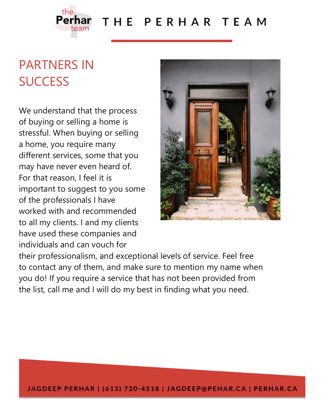

### THE PERHAR TEAM

## PARTNERS IN **SUCCESS**

We understand that the process of buying or selling a home is stressful. When buying or selling a home, you require many different services, some that you may have never even heard of. For that reason, I feel it is important to suggest to you some of the professionals I have worked with and recommended to all my clients. I and my clients have used these companies and individuals and can vouch for



their professionalism, and exceptional levels of service. Feel free to contact any of them, and make sure to mention my name when you do! If you require a service that has not been provided from the list, call me and I will do my best in finding what you need.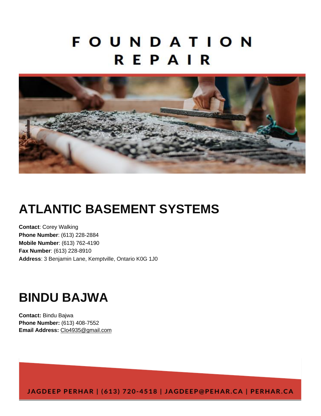## **FOUNDATION** REPAIR



### **ATLANTIC BASEMENT SYSTEMS**

**Contact**: Corey Walking **Phone Number**: (613) 228-2884 **Mobile Number**: (613) 762-4190 **Fax Number**: (613) 228-8910 **Address**: 3 Benjamin Lane, Kemptville, Ontario K0G 1J0

### **BINDU BAJWA**

**Contact:** Bindu Bajwa **Phone Number:** (613) 408-7552 **Email Address:** [Clo4935@gmail.com](mailto:Clo4935@gmail.com)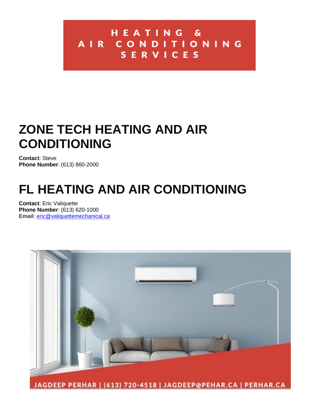#### HEATING & AIR CONDITIONING SERVICES

### **ZONE TECH HEATING AND AIR CONDITIONING**

**Contact**: Steve **Phone Number**: (613) 860-2000

## **FL HEATING AND AIR CONDITIONING**

**Contact**: Eric Valiquette **Phone Number**: (613) 620-1000 **Email**: [eric@valiquettemechanical.ca](mailto:eric@valiquettemechanical.ca)

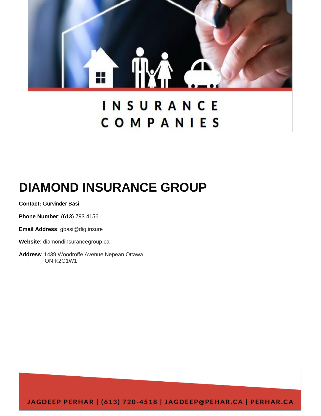

## INSURANCE COMPANIES

## **DIAMOND INSURANCE GROUP**

**Contact:** Gurvinder Basi

**Phone Number**: (613) 793 4156

**Email Address**: [gb](mailto:tpettrey@carr-ins.ca)asi@dig.insure

**Website**: diamondinsurancegroup.ca

**Address**: 1439 Woodroffe Avenue Nepean Ottawa, ON K2G1W1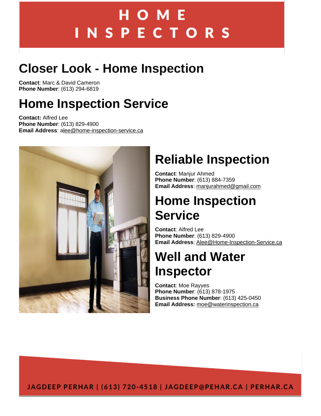# НОМЕ **INSPECTORS**

## **Closer Look - Home Inspection**

**Contact**: Marc & David Cameron **Phone Number**: (613) 294-6819

### **Home Inspection Service**

**Contact:** Alfred Lee **Phone Number**: (613) 829-4900 **Email Address**: [alee@home-inspection-service.ca](mailto:Alee@Home-Inspection-Service.ca)



## **Reliable Inspection**

**Contact**: Manjur Ahmed **Phone Number**: (613) 884-7359 **Email Address**: [manjurahmed@gmail.com](mailto:ManjurAhmed@gmail.com)

### **Home Inspection Service**

**Contact**: Alfred Lee **Phone Number**: (613) 829-4900 **Email Address**: [Alee@Home-Inspection-Service.ca](mailto:Alee@Home-Inspection-Service.ca)

## **Well and Water Inspector**

**Contact**: Moe Rayyes **Phone Number**: (613) 878-1975 **Business Phone Number**: (613) 425-0450 **Email Address:** [moe@waterinspection.ca](mailto:moe@waterinspection.ca)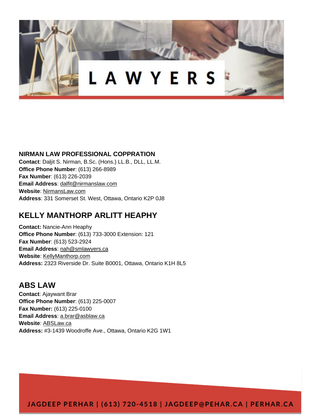

#### **NIRMAN LAW PROFESSIONAL COPPRATION**

**Contact**: Daljit S. Nirman, B.Sc. (Hons.) LL.B., DLL, LL.M. **Office Phone Number**: (613) 266-8989 **Fax Number**: (613) 226-2039 **Email Address**: [dalfit@nirmanslaw.com](mailto:dalfit@nirmanslaw.com) **Website**: [NirmansLaw.com](https://www.nirmanslaw.com/) **Address**: 331 Somerset St. West, Ottawa, Ontario K2P 0J8

#### **KELLY MANTHORP ARLITT HEAPHY**

**Contact:** Nancie-Ann Heaphy **Office Phone Number**: (613) 733-3000 Extension: 121 **Fax Number**: (613) 523-2924 **Email Address**: [nah@smlawyers.ca](mailto:nah@kmhlawyers.ca) **Website**: [KellyManthorp.com](http://kellymanthorp.com/) **Address:** 2323 Riverside Dr. Suite B0001, Ottawa, Ontario K1H 8L5

#### **ABS LAW**

**Contact**: Ajaywant Brar **Office Phone Number**: (613) 225-0007 **Fax Number:** (613) 225-0100 **Email Address**: [a.brar@asblaw.ca](mailto:a.brar@asblaw.ca) **Website**: [ABSLaw.ca](http://abslaw.ca/) **Address:** #3-1439 Woodroffe Ave., Ottawa, Ontario K2G 1W1